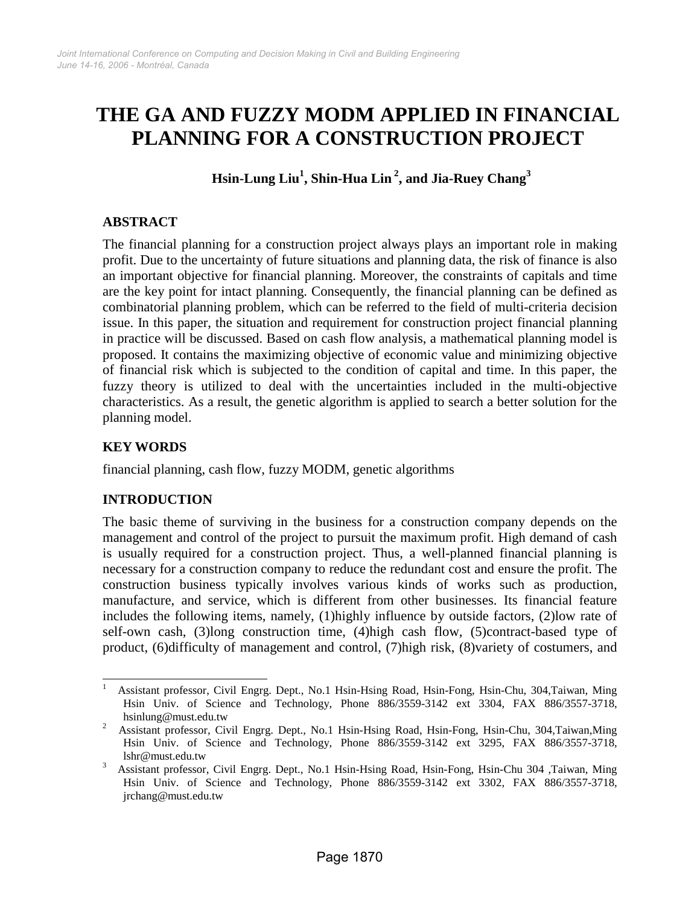# **THE GA AND FUZZY MODM APPLIED IN FINANCIAL PLANNING FOR A CONSTRUCTION PROJECT**

**Hsin-Lung Liu<sup>1</sup> , Shin-Hua Lin <sup>2</sup> , and Jia-Ruey Chang<sup>3</sup>**

# **ABSTRACT**

The financial planning for a construction project always plays an important role in making profit. Due to the uncertainty of future situations and planning data, the risk of finance is also an important objective for financial planning. Moreover, the constraints of capitals and time are the key point for intact planning. Consequently, the financial planning can be defined as combinatorial planning problem, which can be referred to the field of multi-criteria decision issue. In this paper, the situation and requirement for construction project financial planning in practice will be discussed. Based on cash flow analysis, a mathematical planning model is proposed. It contains the maximizing objective of economic value and minimizing objective of financial risk which is subjected to the condition of capital and time. In this paper, the fuzzy theory is utilized to deal with the uncertainties included in the multi-objective characteristics. As a result, the genetic algorithm is applied to search a better solution for the planning model.

# **KEY WORDS**

financial planning, cash flow, fuzzy MODM, genetic algorithms

# **INTRODUCTION**

The basic theme of surviving in the business for a construction company depends on the management and control of the project to pursuit the maximum profit. High demand of cash is usually required for a construction project. Thus, a well-planned financial planning is necessary for a construction company to reduce the redundant cost and ensure the profit. The construction business typically involves various kinds of works such as production, manufacture, and service, which is different from other businesses. Its financial feature includes the following items, namely, (1)highly influence by outside factors, (2)low rate of self-own cash, (3)long construction time, (4)high cash flow, (5)contract-based type of product, (6)difficulty of management and control, (7)high risk, (8)variety of costumers, and

<sup>&</sup>lt;sup>1</sup> Assistant professor, Civil Engrg. Dept., No.1 Hsin-Hsing Road, Hsin-Fong, Hsin-Chu, 304,Taiwan, Ming Hsin Univ. of Science and Technology, Phone 886/3559-3142 ext 3304, FAX 886/3557-3718, hsinlung@must.edu.tw

<sup>&</sup>lt;sup>2</sup> Assistant professor, Civil Engrg. Dept., No.1 Hsin-Hsing Road, Hsin-Fong, Hsin-Chu, 304,Taiwan,Ming Hsin Univ. of Science and Technology, Phone 886/3559-3142 ext 3295, FAX 886/3557-3718, lshr@must.edu.tw

<sup>3</sup> Assistant professor, Civil Engrg. Dept., No.1 Hsin-Hsing Road, Hsin-Fong, Hsin-Chu 304 ,Taiwan, Ming Hsin Univ. of Science and Technology, Phone 886/3559-3142 ext 3302, FAX 886/3557-3718, jrchang@must.edu.tw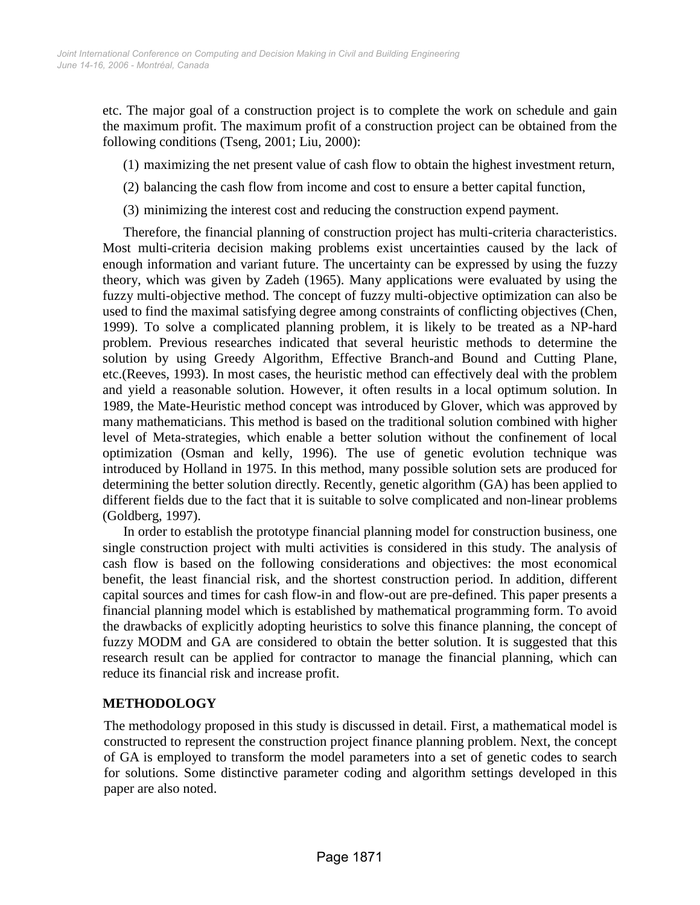etc. The major goal of a construction project is to complete the work on schedule and gain the maximum profit. The maximum profit of a construction project can be obtained from the following conditions (Tseng, 2001; Liu, 2000):

- (1) maximizing the net present value of cash flow to obtain the highest investment return,
- (2) balancing the cash flow from income and cost to ensure a better capital function,
- (3) minimizing the interest cost and reducing the construction expend payment.

Therefore, the financial planning of construction project has multi-criteria characteristics. Most multi-criteria decision making problems exist uncertainties caused by the lack of enough information and variant future. The uncertainty can be expressed by using the fuzzy theory, which was given by Zadeh (1965). Many applications were evaluated by using the fuzzy multi-objective method. The concept of fuzzy multi-objective optimization can also be used to find the maximal satisfying degree among constraints of conflicting objectives (Chen, 1999). To solve a complicated planning problem, it is likely to be treated as a NP-hard problem. Previous researches indicated that several heuristic methods to determine the solution by using Greedy Algorithm, Effective Branch-and Bound and Cutting Plane, etc.(Reeves, 1993). In most cases, the heuristic method can effectively deal with the problem and yield a reasonable solution. However, it often results in a local optimum solution. In 1989, the Mate-Heuristic method concept was introduced by Glover, which was approved by many mathematicians. This method is based on the traditional solution combined with higher level of Meta-strategies, which enable a better solution without the confinement of local optimization (Osman and kelly, 1996). The use of genetic evolution technique was introduced by Holland in 1975. In this method, many possible solution sets are produced for determining the better solution directly. Recently, genetic algorithm (GA) has been applied to different fields due to the fact that it is suitable to solve complicated and non-linear problems (Goldberg, 1997).

In order to establish the prototype financial planning model for construction business, one single construction project with multi activities is considered in this study. The analysis of cash flow is based on the following considerations and objectives: the most economical benefit, the least financial risk, and the shortest construction period. In addition, different capital sources and times for cash flow-in and flow-out are pre-defined. This paper presents a financial planning model which is established by mathematical programming form. To avoid the drawbacks of explicitly adopting heuristics to solve this finance planning, the concept of fuzzy MODM and GA are considered to obtain the better solution. It is suggested that this research result can be applied for contractor to manage the financial planning, which can reduce its financial risk and increase profit.

# **METHODOLOGY**

The methodology proposed in this study is discussed in detail. First, a mathematical model is constructed to represent the construction project finance planning problem. Next, the concept of GA is employed to transform the model parameters into a set of genetic codes to search for solutions. Some distinctive parameter coding and algorithm settings developed in this paper are also noted.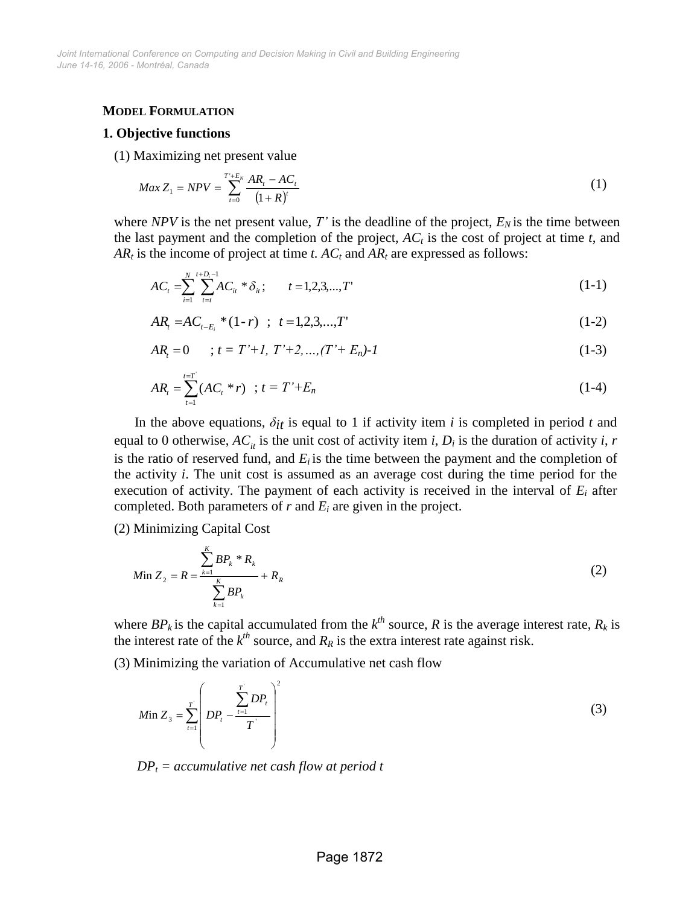### **MODEL FORMULATION**

#### **1. Objective functions**

(1) Maximizing net present value

$$
Max Z_1 = NPV = \sum_{t=0}^{T^+E_N} \frac{AR_t - AC_t}{(1+R)^t}
$$
 (1)

where *NPV* is the net present value,  $T'$  is the deadline of the project,  $E_N$  is the time between the last payment and the completion of the project, *AC<sup>t</sup>* is the cost of project at time *t*, and  $AR_t$  is the income of project at time *t.*  $AC_t$  and  $AR_t$  are expressed as follows:

$$
AC_{t} = \sum_{i=1}^{N} \sum_{t=t}^{t+D_{i}-1} AC_{it} * \delta_{it}; \qquad t = 1, 2, 3, ..., T' \qquad (1-1)
$$

$$
AR_{t} = AC_{t-E_{i}} * (1-r) \quad ; \quad t=1,2,3,...,T'
$$
 (1-2)

$$
ARt = 0 \t ; t = T'+1, T'+2,...,(T'+En)-1
$$
\t(1-3)

$$
AR_t = \sum_{t=1}^{t=T} (AC_t * r) \quad ; \quad t = T' + E_n \tag{1-4}
$$

In the above equations,  $\delta_{it}$  is equal to 1 if activity item *i* is completed in period *t* and equal to 0 otherwise,  $AC_i$  is the unit cost of activity item *i*,  $D_i$  is the duration of activity *i*, *r* is the ratio of reserved fund, and  $E_i$  is the time between the payment and the completion of the activity *i*. The unit cost is assumed as an average cost during the time period for the execution of activity. The payment of each activity is received in the interval of *E<sup>i</sup>* after completed. Both parameters of *r* and *E<sup>i</sup>* are given in the project.

(2) Minimizing Capital Cost

$$
M \text{in } Z_2 = R = \frac{\sum_{k=1}^{K} BP_k * R_k}{\sum_{k=1}^{K} BP_k} + R_R \tag{2}
$$

where  $BP_k$  is the capital accumulated from the  $k^{th}$  source, R is the average interest rate,  $R_k$  is the interest rate of the  $k^{th}$  source, and  $R_R$  is the extra interest rate against risk.

(3) Minimizing the variation of Accumulative net cash flow

$$
M_{11} Z_3 = \sum_{t=1}^{T} \left( DP_t - \frac{\sum_{t=1}^{T} DP_t}{T} \right)^2
$$
\n(3)

 $DP<sub>t</sub> = accumulatedive net cash flow at period t$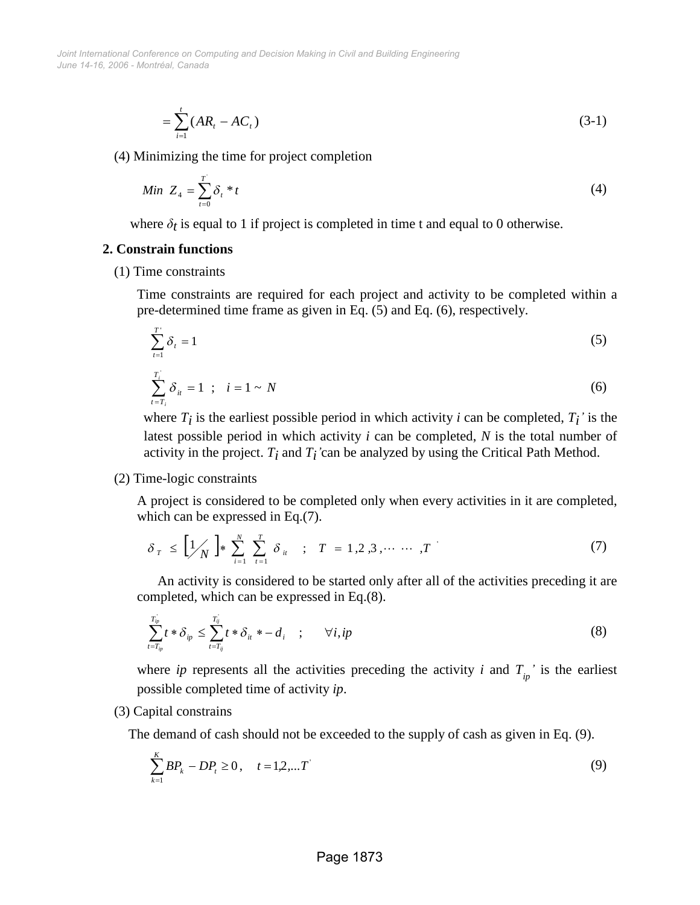*June 14-16, 2006 - Montréal, Canada Joint International Conference on Computing and Decision Making in Civil and Building Engineering*

$$
=\sum_{i=1}^{t} (AR_i - AC_i) \tag{3-1}
$$

(4) Minimizing the time for project completion

$$
Min Z_4 = \sum_{t=0}^{T} \delta_t * t \tag{4}
$$

where  $\delta_t$  is equal to 1 if project is completed in time t and equal to 0 otherwise.

#### **2. Constrain functions**

(1) Time constraints

Time constraints are required for each project and activity to be completed within a pre-determined time frame as given in Eq. (5) and Eq. (6), respectively.

$$
\sum_{t=1}^{T'} \delta_t = 1 \tag{5}
$$

$$
\sum_{i=T_i}^{T_i} \delta_{ii} = 1 \; ; \; i = 1 \sim N \tag{6}
$$

where  $T_i$  is the earliest possible period in which activity *i* can be completed,  $T_i$ ' is the latest possible period in which activity *i* can be completed, *N* is the total number of activity in the project.  $T_i$  and  $T_i$ 'can be analyzed by using the Critical Path Method.

#### (2) Time-logic constraints

A project is considered to be completed only when every activities in it are completed, which can be expressed in Eq.(7).

$$
\delta_{T} \leq \left[1 \atop{N}\right] * \sum_{i=1}^{N} \sum_{t=1}^{T} \delta_{it} \quad ; \quad T = 1, 2, 3, \cdots \cdots, T
$$
 (7)

An activity is considered to be started only after all of the activities preceding it are completed, which can be expressed in Eq.(8).

$$
\sum_{t=T_{ip}}^{T_{ip}} t * \delta_{ip} \le \sum_{t=T_{ij}}^{T_{ij}} t * \delta_{it} * -d_i \quad ; \quad \forall i, ip
$$

where *ip* represents all the activities preceding the activity *i* and  $T_{in}$ <sup>'</sup> is the earliest possible completed time of activity *ip*.

#### (3) Capital constrains

The demand of cash should not be exceeded to the supply of cash as given in Eq. (9).

$$
\sum_{k=1}^{K} BP_k - DP_t \ge 0, \quad t = 1, 2, \dots T
$$
\n(9)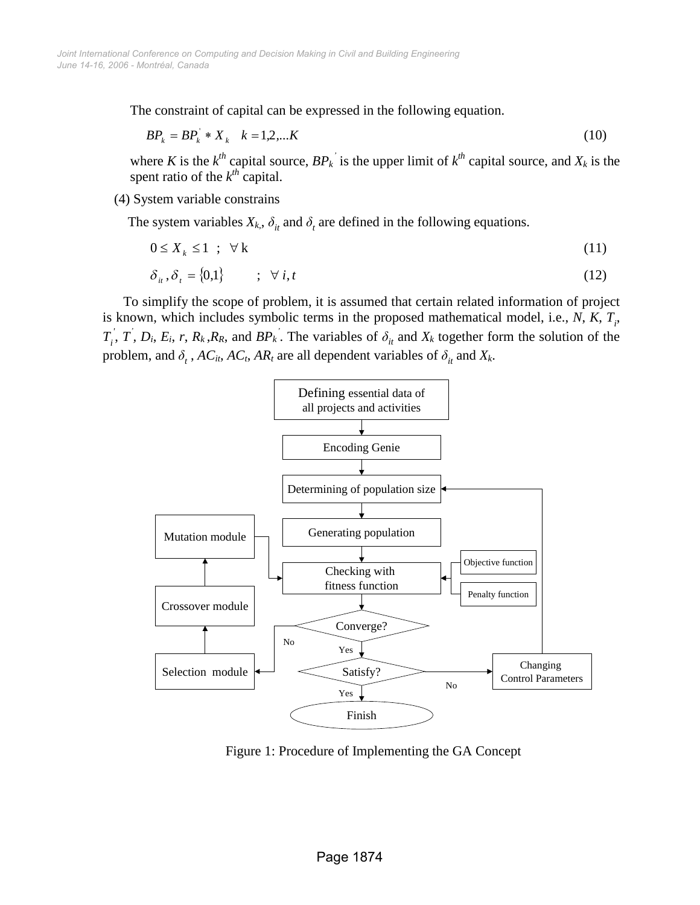The constraint of capital can be expressed in the following equation.

$$
BP_k = BP_k^* * X_k \quad k = 1, 2, \dots K \tag{10}
$$

where *K* is the  $k^{th}$  capital source,  $BP_k$ <sup>'</sup> is the upper limit of  $k^{th}$  capital source, and  $X_k$  is the spent ratio of the  $k^{th}$  capital.

(4) System variable constrains

The system variables  $X_k$ ,  $\delta_{it}$  and  $\delta_t$  are defined in the following equations.

$$
0 \le X_k \le 1 \quad ; \quad \forall \, k \tag{11}
$$

$$
\delta_{it}, \delta_t = \{0,1\} \qquad ; \quad \forall \, i, t \tag{12}
$$

To simplify the scope of problem, it is assumed that certain related information of project is known, which includes symbolic terms in the proposed mathematical model, i.e., *N*, *K*, *T<sup>i</sup>* ,  $T_i^{\prime}, T, D_i, E_i, r, R_k, R_R$ , and  $BP_k^{\prime}$ . The variables of  $\delta_{it}$  and  $X_k$  together form the solution of the problem, and  $\delta_t$ ,  $AC_t$ ,  $AC_t$ ,  $AR_t$  are all dependent variables of  $\delta_{it}$  and  $X_k$ .



Figure 1: Procedure of Implementing the GA Concept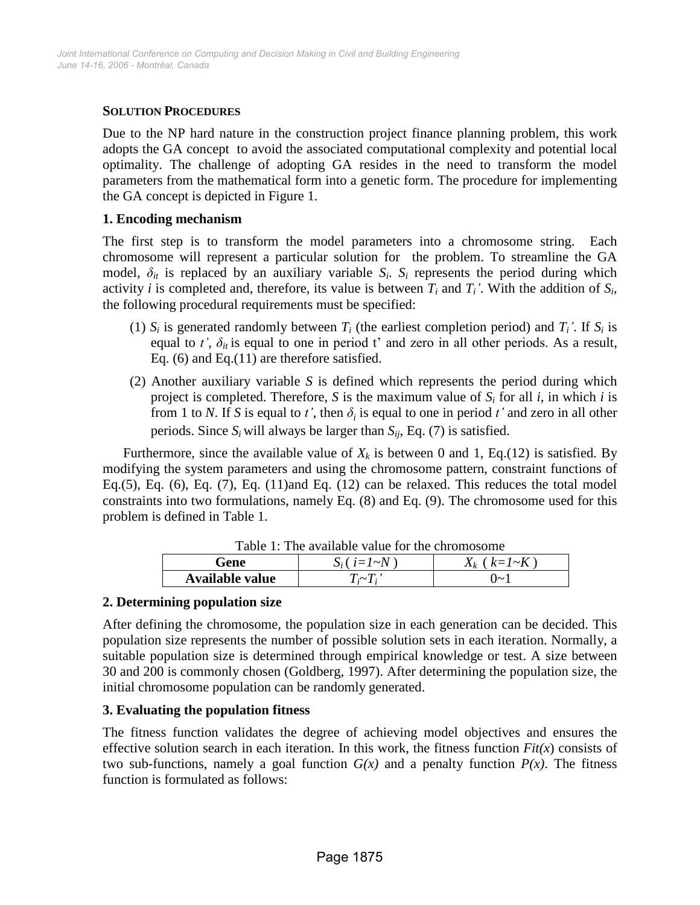# **SOLUTION PROCEDURES**

Due to the NP hard nature in the construction project finance planning problem, this work adopts the GA concept to avoid the associated computational complexity and potential local optimality. The challenge of adopting GA resides in the need to transform the model parameters from the mathematical form into a genetic form. The procedure for implementing the GA concept is depicted in Figure 1.

## **1. Encoding mechanism**

The first step is to transform the model parameters into a chromosome string. Each chromosome will represent a particular solution for the problem. To streamline the GA model,  $\delta_{it}$  is replaced by an auxiliary variable  $S_i$ .  $S_i$  represents the period during which activity *i* is completed and, therefore, its value is between  $T_i$  and  $T_i$ <sup>'</sup>. With the addition of  $S_i$ , the following procedural requirements must be specified:

- (1)  $S_i$  is generated randomly between  $T_i$  (the earliest completion period) and  $T_i'$ . If  $S_i$  is equal to  $t'$ ,  $\delta_{it}$  is equal to one in period t' and zero in all other periods. As a result, Eq. (6) and Eq.(11) are therefore satisfied.
- (2) Another auxiliary variable *S* is defined which represents the period during which project is completed. Therefore, *S* is the maximum value of  $S_i$  for all *i*, in which *i* is from 1 to *N*. If *S* is equal to *t'*, then  $\delta_i$  is equal to one in period *t'* and zero in all other periods. Since  $S_i$  will always be larger than  $S_{ij}$ , Eq. (7) is satisfied.

Furthermore, since the available value of  $X_k$  is between 0 and 1, Eq.(12) is satisfied. By modifying the system parameters and using the chromosome pattern, constraint functions of Eq.(5), Eq. (6), Eq. (7), Eq. (11)and Eq. (12) can be relaxed. This reduces the total model constraints into two formulations, namely Eq. (8) and Eq. (9). The chromosome used for this problem is defined in Table 1.

| Tuble 1. The available value for the embility of the |                   |                       |
|------------------------------------------------------|-------------------|-----------------------|
| Gene                                                 | $S_i$ ( $i=1~N$ ) | $X_k$ ( $k = 1 - K$ ) |
| Available value                                      | $T \sim T$ .      | ()~                   |

Table  $1$ <sup>.</sup> The available value for the chromosome

# **2. Determining population size**

After defining the chromosome, the population size in each generation can be decided. This population size represents the number of possible solution sets in each iteration. Normally, a suitable population size is determined through empirical knowledge or test. A size between 30 and 200 is commonly chosen (Goldberg, 1997). After determining the population size, the initial chromosome population can be randomly generated.

# **3. Evaluating the population fitness**

The fitness function validates the degree of achieving model objectives and ensures the effective solution search in each iteration. In this work, the fitness function  $Fit(x)$  consists of two sub-functions, namely a goal function  $G(x)$  and a penalty function  $P(x)$ . The fitness function is formulated as follows: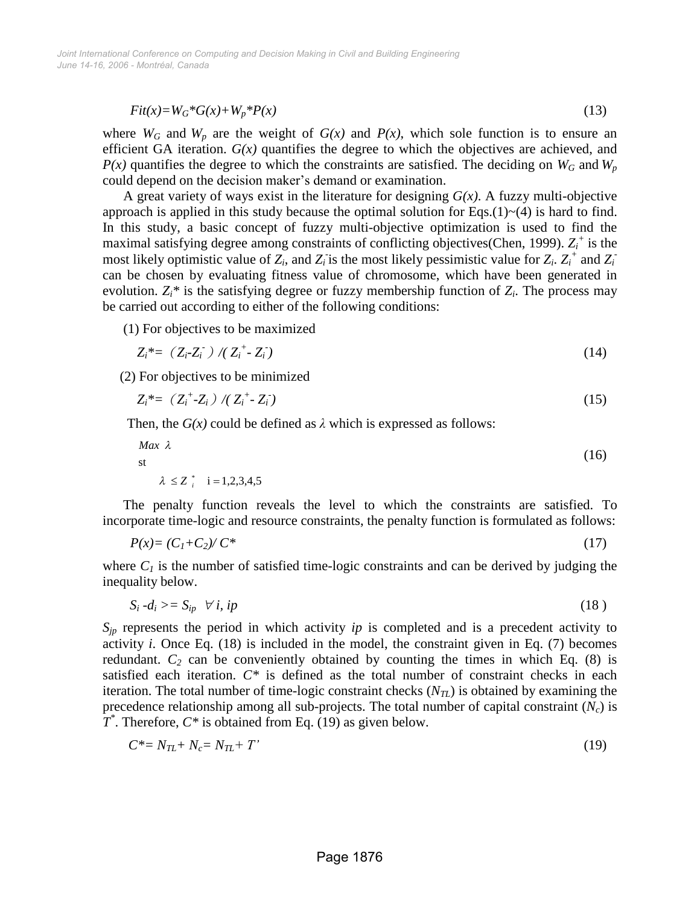$$
Fit(x)=W_G*G(x)+W_p*P(x)
$$
\n(13)

where  $W_G$  and  $W_p$  are the weight of  $G(x)$  and  $P(x)$ , which sole function is to ensure an efficient GA iteration. *G(x)* quantifies the degree to which the objectives are achieved, and  $P(x)$  quantifies the degree to which the constraints are satisfied. The deciding on  $W_G$  and  $W_p$ could depend on the decision maker's demand or examination.

A great variety of ways exist in the literature for designing *G(x)*. A fuzzy multi-objective approach is applied in this study because the optimal solution for Eqs.(1) $\sim$ (4) is hard to find. In this study, a basic concept of fuzzy multi-objective optimization is used to find the maximal satisfying degree among constraints of conflicting objectives(Chen, 1999).  $Z_i^+$  is the most likely optimistic value of  $Z_i$ , and  $Z_i$  is the most likely pessimistic value for  $Z_i$ .  $Z_i^+$  and  $Z_i^$ can be chosen by evaluating fitness value of chromosome, which have been generated in evolution.  $Z_i^*$  is the satisfying degree or fuzzy membership function of  $Z_i$ . The process may be carried out according to either of the following conditions:

(1) For objectives to be maximized

$$
Z_i^* = (Z_i - Z_i^-) / (Z_i^+ - Z_i^-) \tag{14}
$$

(2) For objectives to be minimized

$$
Z_i^* = (Z_i^* - Z_i) / (Z_i^* - Z_i^*)
$$
\n(15)

Then, the  $G(x)$  could be defined as  $\lambda$  which is expressed as follows:

$$
\begin{aligned}\n\text{Max } \lambda \\
\text{st} \\
\lambda \le Z_i^* \quad i = 1, 2, 3, 4, 5\n\end{aligned} \tag{16}
$$

The penalty function reveals the level to which the constraints are satisfied. To incorporate time-logic and resource constraints, the penalty function is formulated as follows:

$$
P(x) = (C_1 + C_2) / C^* \tag{17}
$$

where  $C_I$  is the number of satisfied time-logic constraints and can be derived by judging the inequality below.

$$
S_i - d_i \geq S_{ip} \quad \forall \, i, \, ip \tag{18}
$$

*Sjp* represents the period in which activity *ip* is completed and is a precedent activity to activity *i*. Once Eq. (18) is included in the model, the constraint given in Eq. (7) becomes redundant.  $C_2$  can be conveniently obtained by counting the times in which Eq. (8) is satisfied each iteration. *C\** is defined as the total number of constraint checks in each iteration. The total number of time-logic constraint checks (*NTL*) is obtained by examining the precedence relationship among all sub-projects. The total number of capital constraint (*Nc*) is  $T^*$ . Therefore,  $C^*$  is obtained from Eq. (19) as given below.

$$
C^* = N_{TL} + N_c = N_{TL} + T' \tag{19}
$$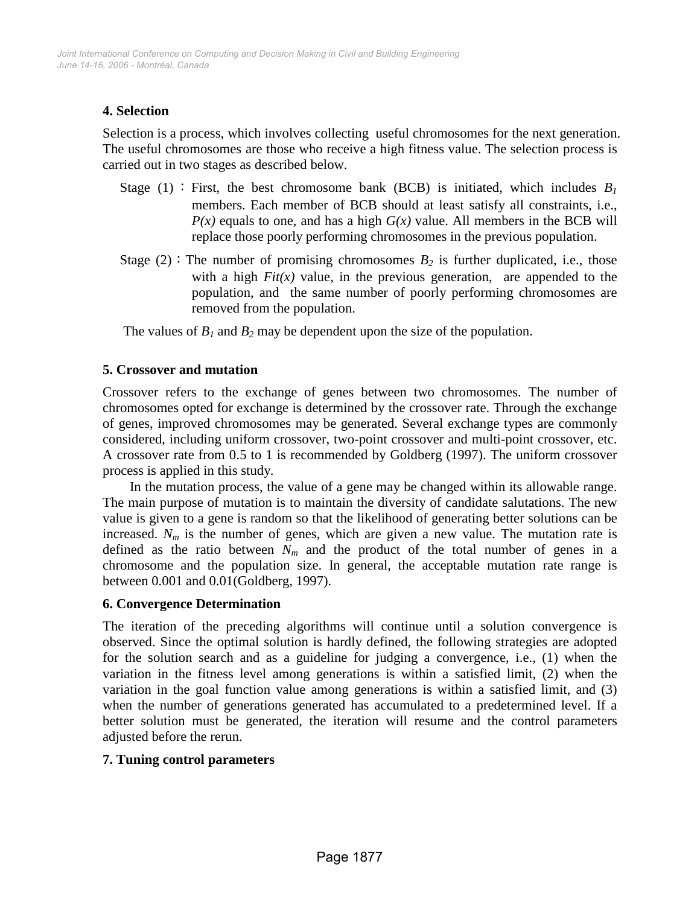# **4. Selection**

Selection is a process, which involves collecting useful chromosomes for the next generation. The useful chromosomes are those who receive a high fitness value. The selection process is carried out in two stages as described below.

- Stage (1): First, the best chromosome bank (BCB) is initiated, which includes  $B_I$ members. Each member of BCB should at least satisfy all constraints, i.e.,  $P(x)$  equals to one, and has a high  $G(x)$  value. All members in the BCB will replace those poorly performing chromosomes in the previous population.
- Stage (2): The number of promising chromosomes  $B_2$  is further duplicated, i.e., those with a high  $Fit(x)$  value, in the previous generation, are appended to the population, and the same number of poorly performing chromosomes are removed from the population.

The values of  $B_1$  and  $B_2$  may be dependent upon the size of the population.

## **5. Crossover and mutation**

Crossover refers to the exchange of genes between two chromosomes. The number of chromosomes opted for exchange is determined by the crossover rate. Through the exchange of genes, improved chromosomes may be generated. Several exchange types are commonly considered, including uniform crossover, two-point crossover and multi-point crossover, etc. A crossover rate from 0.5 to 1 is recommended by Goldberg (1997). The uniform crossover process is applied in this study.

In the mutation process, the value of a gene may be changed within its allowable range. The main purpose of mutation is to maintain the diversity of candidate salutations. The new value is given to a gene is random so that the likelihood of generating better solutions can be increased.  $N_m$  is the number of genes, which are given a new value. The mutation rate is defined as the ratio between  $N_m$  and the product of the total number of genes in a chromosome and the population size. In general, the acceptable mutation rate range is between 0.001 and 0.01(Goldberg, 1997).

## **6. Convergence Determination**

The iteration of the preceding algorithms will continue until a solution convergence is observed. Since the optimal solution is hardly defined, the following strategies are adopted for the solution search and as a guideline for judging a convergence, i.e., (1) when the variation in the fitness level among generations is within a satisfied limit, (2) when the variation in the goal function value among generations is within a satisfied limit, and (3) when the number of generations generated has accumulated to a predetermined level. If a better solution must be generated, the iteration will resume and the control parameters adjusted before the rerun.

# **7. Tuning control parameters**